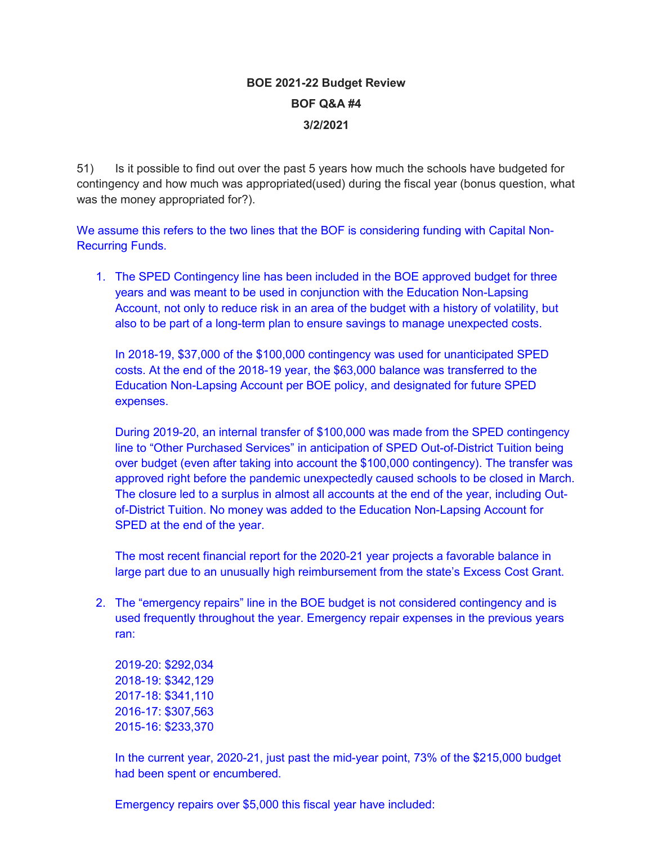# **BOE 2021-22 Budget Review BOF Q&A #4 3/2/2021**

51) Is it possible to find out over the past 5 years how much the schools have budgeted for contingency and how much was appropriated(used) during the fiscal year (bonus question, what was the money appropriated for?).

We assume this refers to the two lines that the BOF is considering funding with Capital Non-Recurring Funds.

1. The SPED Contingency line has been included in the BOE approved budget for three years and was meant to be used in conjunction with the Education Non-Lapsing Account, not only to reduce risk in an area of the budget with a history of volatility, but also to be part of a long-term plan to ensure savings to manage unexpected costs.

In 2018-19, \$37,000 of the \$100,000 contingency was used for unanticipated SPED costs. At the end of the 2018-19 year, the \$63,000 balance was transferred to the Education Non-Lapsing Account per BOE policy, and designated for future SPED expenses.

During 2019-20, an internal transfer of \$100,000 was made from the SPED contingency line to "Other Purchased Services" in anticipation of SPED Out-of-District Tuition being over budget (even after taking into account the \$100,000 contingency). The transfer was approved right before the pandemic unexpectedly caused schools to be closed in March. The closure led to a surplus in almost all accounts at the end of the year, including Outof-District Tuition. No money was added to the Education Non-Lapsing Account for SPED at the end of the year.

The most recent financial report for the 2020-21 year projects a favorable balance in large part due to an unusually high reimbursement from the state's Excess Cost Grant.

2. The "emergency repairs" line in the BOE budget is not considered contingency and is used frequently throughout the year. Emergency repair expenses in the previous years ran:

2019-20: \$292,034 2018-19: \$342,129 2017-18: \$341,110 2016-17: \$307,563 2015-16: \$233,370

In the current year, 2020-21, just past the mid-year point, 73% of the \$215,000 budget had been spent or encumbered.

Emergency repairs over \$5,000 this fiscal year have included: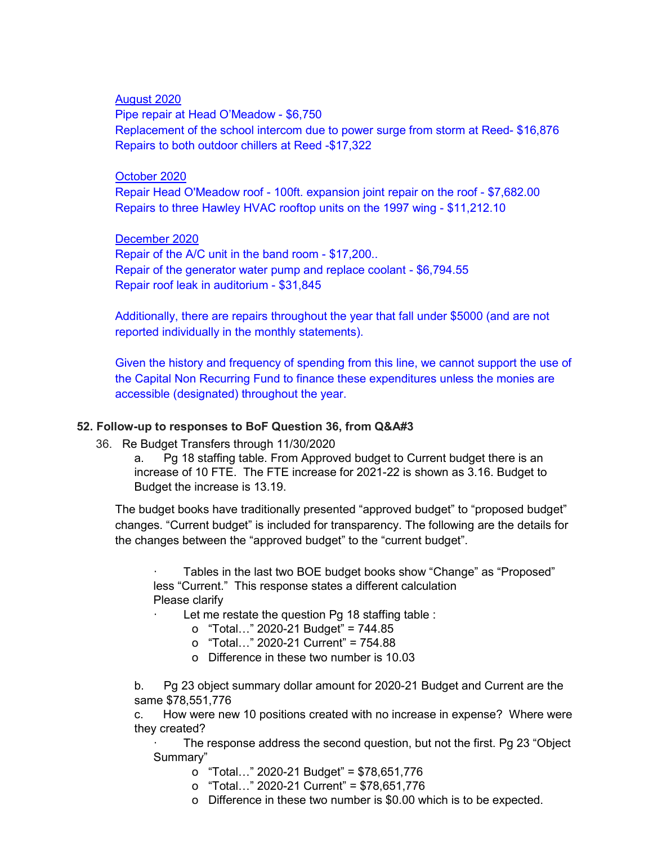#### August 2020

Pipe repair at Head O'Meadow - \$6,750 Replacement of the school intercom due to power surge from storm at Reed- \$16,876 Repairs to both outdoor chillers at Reed -\$17,322

#### October 2020

Repair Head O'Meadow roof - 100ft. expansion joint repair on the roof - \$7,682.00 Repairs to three Hawley HVAC rooftop units on the 1997 wing - \$11,212.10

#### December 2020

Repair of the A/C unit in the band room - \$17,200.. Repair of the generator water pump and replace coolant - \$6,794.55 Repair roof leak in auditorium - \$31,845

Additionally, there are repairs throughout the year that fall under \$5000 (and are not reported individually in the monthly statements).

Given the history and frequency of spending from this line, we cannot support the use of the Capital Non Recurring Fund to finance these expenditures unless the monies are accessible (designated) throughout the year.

## **52. Follow-up to responses to BoF Question 36, from Q&A#3**

36. Re Budget Transfers through 11/30/2020

a. Pg 18 staffing table. From Approved budget to Current budget there is an increase of 10 FTE. The FTE increase for 2021-22 is shown as 3.16. Budget to Budget the increase is 13.19.

The budget books have traditionally presented "approved budget" to "proposed budget" changes. "Current budget" is included for transparency. The following are the details for the changes between the "approved budget" to the "current budget".

Tables in the last two BOE budget books show "Change" as "Proposed" less "Current." This response states a different calculation Please clarify

Let me restate the question Pg 18 staffing table :

- o "Total…" 2020-21 Budget" = 744.85
	- o "Total…" 2020-21 Current" = 754.88
	- o Difference in these two number is 10.03

b. Pg 23 object summary dollar amount for 2020-21 Budget and Current are the same \$78,551,776

c. How were new 10 positions created with no increase in expense? Where were they created?

The response address the second question, but not the first. Pg 23 "Object" Summary"

- o "Total…" 2020-21 Budget" = \$78,651,776
- o "Total…" 2020-21 Current" = \$78,651,776
- o Difference in these two number is \$0.00 which is to be expected.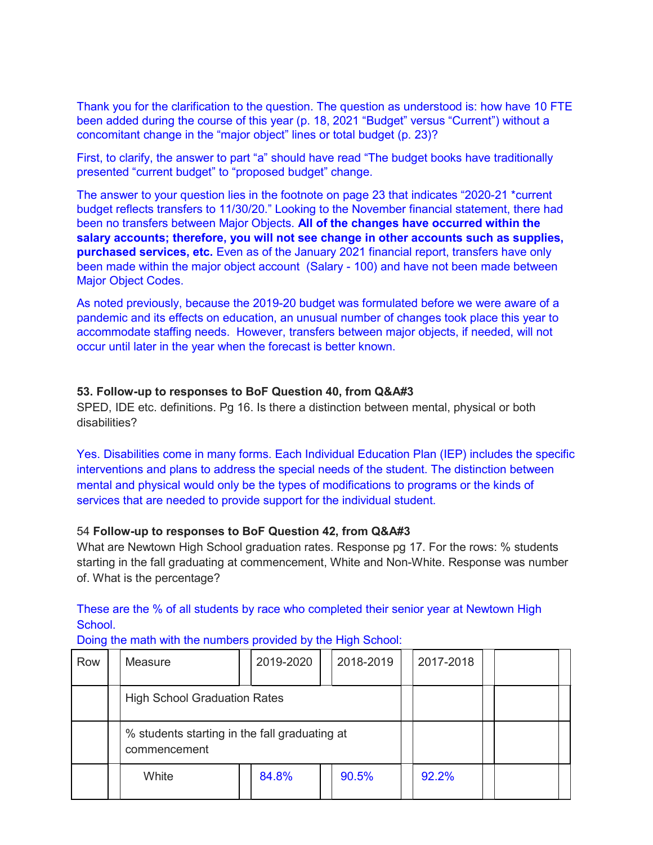Thank you for the clarification to the question. The question as understood is: how have 10 FTE been added during the course of this year (p. 18, 2021 "Budget" versus "Current") without a concomitant change in the "major object" lines or total budget (p. 23)?

First, to clarify, the answer to part "a" should have read "The budget books have traditionally presented "current budget" to "proposed budget" change.

The answer to your question lies in the footnote on page 23 that indicates "2020-21 \*current budget reflects transfers to 11/30/20." Looking to the November financial statement, there had been no transfers between Major Objects. **All of the changes have occurred within the salary accounts; therefore, you will not see change in other accounts such as supplies, purchased services, etc.** Even as of the January 2021 financial report, transfers have only been made within the major object account (Salary - 100) and have not been made between Major Object Codes.

As noted previously, because the 2019-20 budget was formulated before we were aware of a pandemic and its effects on education, an unusual number of changes took place this year to accommodate staffing needs. However, transfers between major objects, if needed, will not occur until later in the year when the forecast is better known.

#### **53. Follow-up to responses to BoF Question 40, from Q&A#3**

SPED, IDE etc. definitions. Pg 16. Is there a distinction between mental, physical or both disabilities?

Yes. Disabilities come in many forms. Each Individual Education Plan (IEP) includes the specific interventions and plans to address the special needs of the student. The distinction between mental and physical would only be the types of modifications to programs or the kinds of services that are needed to provide support for the individual student.

## 54 **Follow-up to responses to BoF Question 42, from Q&A#3**

What are Newtown High School graduation rates. Response pg 17. For the rows: % students starting in the fall graduating at commencement, White and Non-White. Response was number of. What is the percentage?

## These are the % of all students by race who completed their senior year at Newtown High School.

Doing the math with the numbers provided by the High School:

| Row | Measure                                                       |  | 2019-2020 |  | 2018-2019 | 2017-2018 |  |  |
|-----|---------------------------------------------------------------|--|-----------|--|-----------|-----------|--|--|
|     | <b>High School Graduation Rates</b>                           |  |           |  |           |           |  |  |
|     | % students starting in the fall graduating at<br>commencement |  |           |  |           |           |  |  |
|     | White                                                         |  | 84.8%     |  | 90.5%     | 92.2%     |  |  |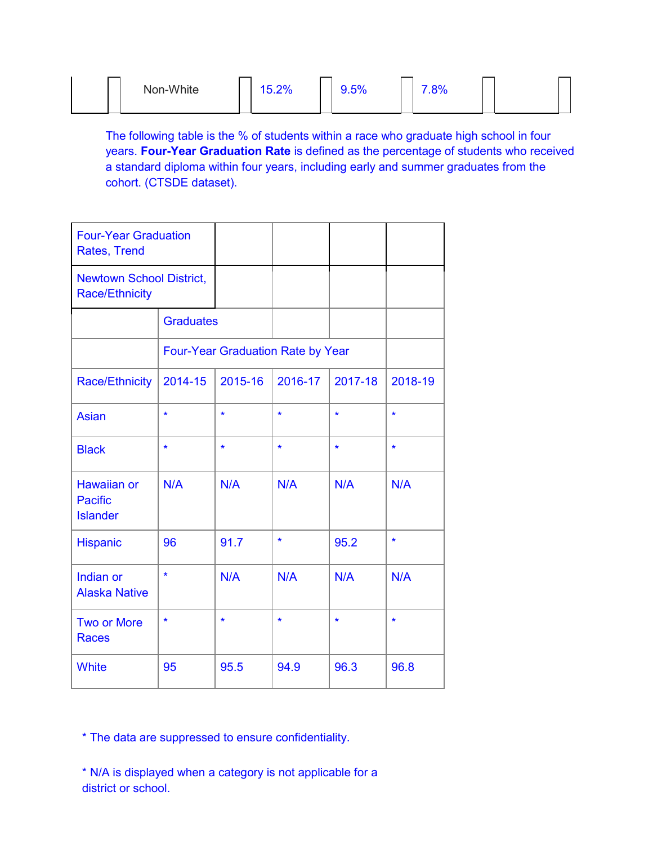| Non-White | ാഗ<br>0.270 | $\sim$ $\sim$ $\sim$<br>J.J/U | 7.001 |  |
|-----------|-------------|-------------------------------|-------|--|
|-----------|-------------|-------------------------------|-------|--|

The following table is the % of students within a race who graduate high school in four years. **Four-Year Graduation Rate** is defined as the percentage of students who received a standard diploma within four years, including early and summer graduates from the cohort. (CTSDE dataset).

| <b>Four-Year Graduation</b><br><b>Rates, Trend</b>       |                  |                                   |         |         |         |
|----------------------------------------------------------|------------------|-----------------------------------|---------|---------|---------|
| <b>Newtown School District,</b><br><b>Race/Ethnicity</b> |                  |                                   |         |         |         |
|                                                          | <b>Graduates</b> |                                   |         |         |         |
|                                                          |                  | Four-Year Graduation Rate by Year |         |         |         |
| <b>Race/Ethnicity</b>                                    | 2014-15          | 2015-16                           | 2016-17 | 2017-18 | 2018-19 |
| <b>Asian</b>                                             | $\star$          | $\star$                           | $\star$ | $\star$ | $\star$ |
| <b>Black</b>                                             | $\star$          | $\star$                           | $\star$ | $\star$ | $\star$ |
| <b>Hawaiian or</b><br><b>Pacific</b><br><b>Islander</b>  | N/A              | N/A                               | N/A     | N/A     | N/A     |
| Hispanic                                                 | 96               | 91.7                              | $\star$ | 95.2    | $\star$ |
| Indian or<br><b>Alaska Native</b>                        | $\star$          | N/A                               | N/A     | N/A     | N/A     |
| <b>Two or More</b><br><b>Races</b>                       | $\star$          | $\star$                           | $\star$ | $\star$ | $\star$ |
| <b>White</b>                                             | 95               | 95.5                              | 94.9    | 96.3    | 96.8    |

\* The data are suppressed to ensure confidentiality.

\* N/A is displayed when a category is not applicable for a district or school.